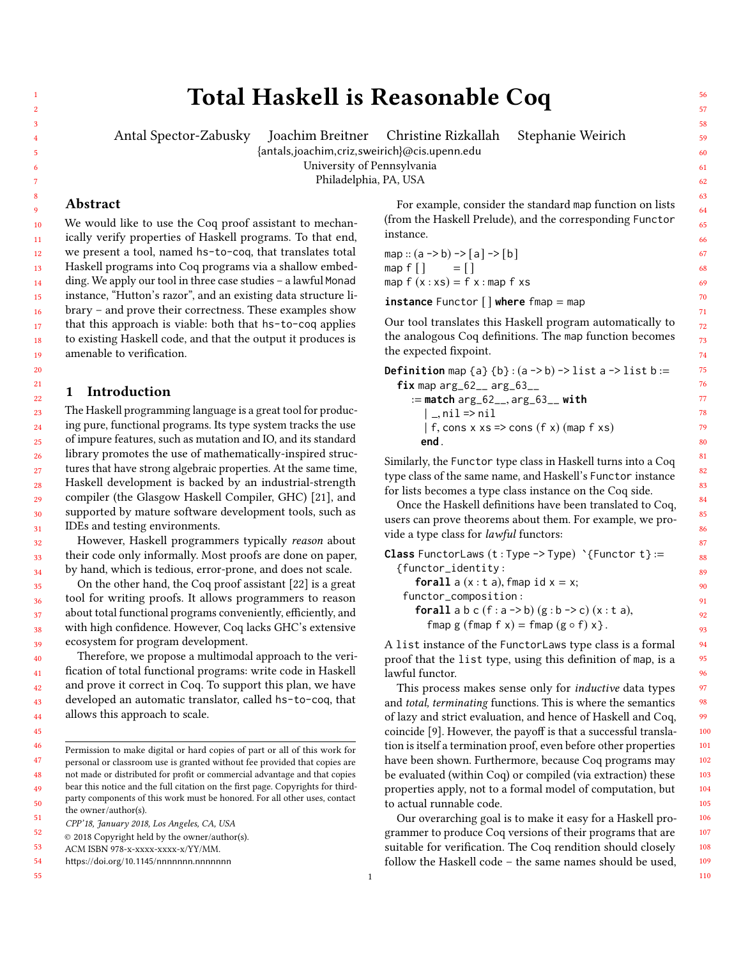# Total Haskell is Reasonable Coq

Antal Spector-Zabusky Joachim Breitner Christine Rizkallah Stephanie Weirich

{antals,joachim,criz,sweirich}@cis.upenn.edu

University of Pennsylvania

Philadelphia, PA, USA

### Abstract

We would like to use the Coq proof assistant to mechanically verify properties of Haskell programs. To that end, we present a tool, named hs-to-coq, that translates total Haskell programs into Coq programs via a shallow embedding. We apply our tool in three case studies – a lawful Monad instance, "Hutton's razor", and an existing data structure library – and prove their correctness. These examples show that this approach is viable: both that hs-to-coq applies to existing Haskell code, and that the output it produces is amenable to verification.

# <span id="page-0-0"></span>1 Introduction

23 24 25 26 27 28 29 30 31 The Haskell programming language is a great tool for producing pure, functional programs. Its type system tracks the use of impure features, such as mutation and IO, and its standard library promotes the use of mathematically-inspired structures that have strong algebraic properties. At the same time, Haskell development is backed by an industrial-strength compiler (the Glasgow Haskell Compiler, GHC) [\[21\]](#page-12-0), and supported by mature software development tools, such as IDEs and testing environments.

However, Haskell programmers typically reason about their code only informally. Most proofs are done on paper, by hand, which is tedious, error-prone, and does not scale.

On the other hand, the Coq proof assistant [\[22\]](#page-12-1) is a great tool for writing proofs. It allows programmers to reason about total functional programs conveniently, efficiently, and with high confidence. However, Coq lacks GHC's extensive ecosystem for program development.

Therefore, we propose a multimodal approach to the verification of total functional programs: write code in Haskell and prove it correct in Coq. To support this plan, we have developed an automatic translator, called hs-to-coq, that allows this approach to scale.

ACM ISBN 978-x-xxxx-xxxx-x/YY/MM.

55

For example, consider the standard map function on lists (from the Haskell Prelude), and the corresponding Functor instance.

map ::  $(a -b)$  ->  $[a]$  ->  $[b]$ map  $f \mid \mid$  =  $\mid \mid$ map  $f(x:xs) = f(x:map f xs)$ 

**instance** Functor [ ] **where** fmap = map

Our tool translates this Haskell program automatically to the analogous Coq definitions. The map function becomes the expected fixpoint.

| <b>Definition</b> map {a} {b}:(a->b) -> list a -> list b := |  |
|-------------------------------------------------------------|--|
| $fix$ map $arg_62$ arg $63$ $-$                             |  |
| $:=$ match $arg_62_{--}$ , $arg_63_{--}$ with               |  |
| $ $ _, nil => nil                                           |  |
| f, cons x $xs \Rightarrow$ cons (f x) (map f $xs$ )         |  |
| end.                                                        |  |

Similarly, the Functor type class in Haskell turns into a Coq type class of the same name, and Haskell's Functor instance for lists becomes a type class instance on the Coq side.

Once the Haskell definitions have been translated to Coq, users can prove theorems about them. For example, we provide a type class for lawful functors:

| <b>Class</b> FunctorLaws $(t : Type \rightarrow Type)$ '{Functor $t$ } :=         |  |
|-----------------------------------------------------------------------------------|--|
| {functor_identity:                                                                |  |
| <b>forall</b> a $(x : t a)$ , fmap id $x = x$ ;                                   |  |
| functor_composition:                                                              |  |
| <b>forall</b> a b c $(f : a \rightarrow b)$ $(g : b \rightarrow c)$ $(x : t a)$ , |  |
| fmap g (fmap f x) = fmap $(g \circ f) x$ .                                        |  |

A list instance of the FunctorLaws type class is a formal proof that the list type, using this definition of map, is a lawful functor.

This process makes sense only for inductive data types and total, terminating functions. This is where the semantics of lazy and strict evaluation, and hence of Haskell and Coq, coincide [\[9\]](#page-12-2). However, the payoff is that a successful translation is itself a termination proof, even before other properties have been shown. Furthermore, because Coq programs may be evaluated (within Coq) or compiled (via extraction) these properties apply, not to a formal model of computation, but to actual runnable code.

Our overarching goal is to make it easy for a Haskell programmer to produce Coq versions of their programs that are suitable for verification. The Coq rendition should closely follow the Haskell code – the same names should be used,

<sup>46</sup> 47 48 49 Permission to make digital or hard copies of part or all of this work for personal or classroom use is granted without fee provided that copies are not made or distributed for profit or commercial advantage and that copies bear this notice and the full citation on the first page. Copyrights for thirdparty components of this work must be honored. For all other uses, contact

<sup>50</sup> 51 the owner/author(s).

CPP'18, January 2018, Los Angeles, CA, USA

<sup>52</sup> 53 © 2018 Copyright held by the owner/author(s).

<sup>54</sup> <https://doi.org/10.1145/nnnnnnn.nnnnnnn>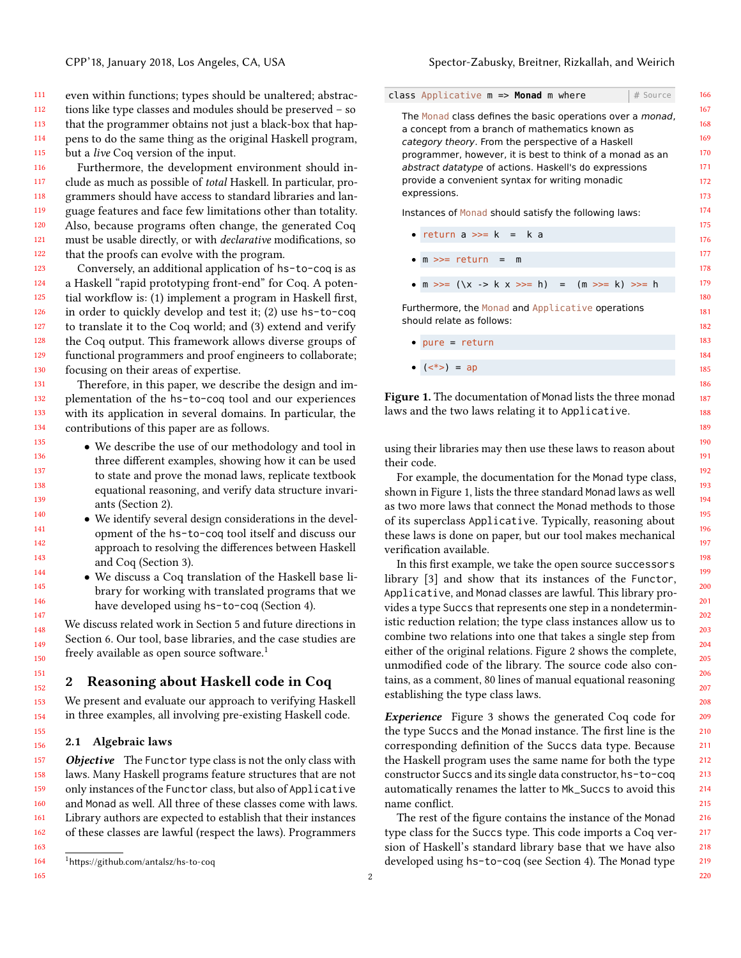111 112 113 114 115 even within functions; types should be unaltered; abstractions like type classes and modules should be preserved – so that the programmer obtains not just a black-box that happens to do the same thing as the original Haskell program, but a live Coq version of the input.

116 117 118 119 120 121 122 Furthermore, the development environment should include as much as possible of total Haskell. In particular, programmers should have access to standard libraries and language features and face few limitations other than totality. Also, because programs often change, the generated Coq must be usable directly, or with declarative modifications, so that the proofs can evolve with the program.

123 124 125 126 127 128 129 130 Conversely, an additional application of hs-to-coq is as a Haskell "rapid prototyping front-end" for Coq. A potential workflow is: (1) implement a program in Haskell first, in order to quickly develop and test it; (2) use hs-to-coq to translate it to the Coq world; and (3) extend and verify the Coq output. This framework allows diverse groups of functional programmers and proof engineers to collaborate; focusing on their areas of expertise.

131 132 133 134 Therefore, in this paper, we describe the design and implementation of the hs-to-coq tool and our experiences with its application in several domains. In particular, the contributions of this paper are as follows.

- We describe the use of our methodology and tool in three different examples, showing how it can be used to state and prove the monad laws, replicate textbook equational reasoning, and verify data structure invariants [\(Section 2\)](#page-1-0).
	- We identify several design considerations in the development of the hs-to-coq tool itself and discuss our approach to resolving the differences between Haskell and Coq [\(Section 3\)](#page-4-0).
		- We discuss a Coq translation of the Haskell base library for working with translated programs that we have developed using hs-to-coq [\(Section 4\)](#page-9-0).

We discuss related work in [Section 5](#page-10-0) and future directions in [Section 6.](#page-11-0) Our tool, base libraries, and the case studies are freely available as open source software.<sup>[1](#page-1-1)</sup>

# <span id="page-1-0"></span>2 Reasoning about Haskell code in Coq

We present and evaluate our approach to verifying Haskell in three examples, all involving pre-existing Haskell code.

### <span id="page-1-3"></span>2.1 Algebraic laws

163

165

157 158 159 160 161 162 **Objective** The Functor type class is not the only class with laws. Many Haskell programs feature structures that are not only instances of the Functor class, but also of Applicative and Monad as well. All three of these classes come with laws. Library authors are expected to establish that their instances of these classes are lawful (respect the laws). Programmers

<span id="page-1-2"></span>

|             | class Applicative m => Monad m where                                                                                                                                                                                                                                                                                                                                                                                                                                                                                                                                                                                                                                                                                        | # Source |
|-------------|-----------------------------------------------------------------------------------------------------------------------------------------------------------------------------------------------------------------------------------------------------------------------------------------------------------------------------------------------------------------------------------------------------------------------------------------------------------------------------------------------------------------------------------------------------------------------------------------------------------------------------------------------------------------------------------------------------------------------------|----------|
|             | The Monad class defines the basic operations over a <i>monad</i> ,<br>a concept from a branch of mathematics known as<br>category theory. From the perspective of a Haskell<br>programmer, however, it is best to think of a monad as an<br>abstract datatype of actions. Haskell's do expressions<br>provide a convenient syntax for writing monadic<br>expressions.                                                                                                                                                                                                                                                                                                                                                       |          |
|             | Instances of Monad should satisfy the following laws:                                                                                                                                                                                                                                                                                                                                                                                                                                                                                                                                                                                                                                                                       |          |
|             | $\bullet$ return a $\gg = k =$<br>k a                                                                                                                                                                                                                                                                                                                                                                                                                                                                                                                                                                                                                                                                                       |          |
|             | $\bullet$ m $\gg$ return<br>$=$<br>m                                                                                                                                                                                                                                                                                                                                                                                                                                                                                                                                                                                                                                                                                        |          |
|             | $m \gg = (\x \rightarrow k \x \gg = h)$<br>$=$ (m >>= k) >>= h                                                                                                                                                                                                                                                                                                                                                                                                                                                                                                                                                                                                                                                              |          |
|             | Furthermore, the Monad and Applicative operations<br>should relate as follows:                                                                                                                                                                                                                                                                                                                                                                                                                                                                                                                                                                                                                                              |          |
|             | $\bullet$ pure = return                                                                                                                                                                                                                                                                                                                                                                                                                                                                                                                                                                                                                                                                                                     |          |
|             | • $(<^*>) = ap$                                                                                                                                                                                                                                                                                                                                                                                                                                                                                                                                                                                                                                                                                                             |          |
|             | Figure 1. The documentation of Monad lists the three monad                                                                                                                                                                                                                                                                                                                                                                                                                                                                                                                                                                                                                                                                  |          |
| their code. | laws and the two laws relating it to Applicative.<br>using their libraries may then use these laws to reason about<br>For example, the documentation for the Monad type class,<br>shown in Figure 1, lists the three standard Monad laws as well<br>as two more laws that connect the Monad methods to those<br>of its superclass Applicative. Typically, reasoning about<br>these laws is done on paper, but our tool makes mechanical<br>verification available.<br>In this first example, we take the open source successors<br>library [3] and show that its instances of the Functor,<br>Applicative, and Monad classes are lawful. This library pro-<br>vides a type Succs that represents one step in a nondetermin- |          |

<span id="page-1-4"></span>Experience [Figure 3](#page-2-1) shows the generated Coq code for the type Succs and the Monad instance. The first line is the corresponding definition of the Succs data type. Because the Haskell program uses the same name for both the type constructor Succs and its single data constructor, hs-to-coq automatically renames the latter to Mk\_Succs to avoid this name conflict.

The rest of the figure contains the instance of the Monad type class for the Succs type. This code imports a Coq version of Haskell's standard library base that we have also developed using hs-to-coq (see [Section 4\)](#page-9-0). The Monad type

<span id="page-1-1"></span><sup>164</sup> <sup>1</sup><https://github.com/antalsz/hs-to-coq>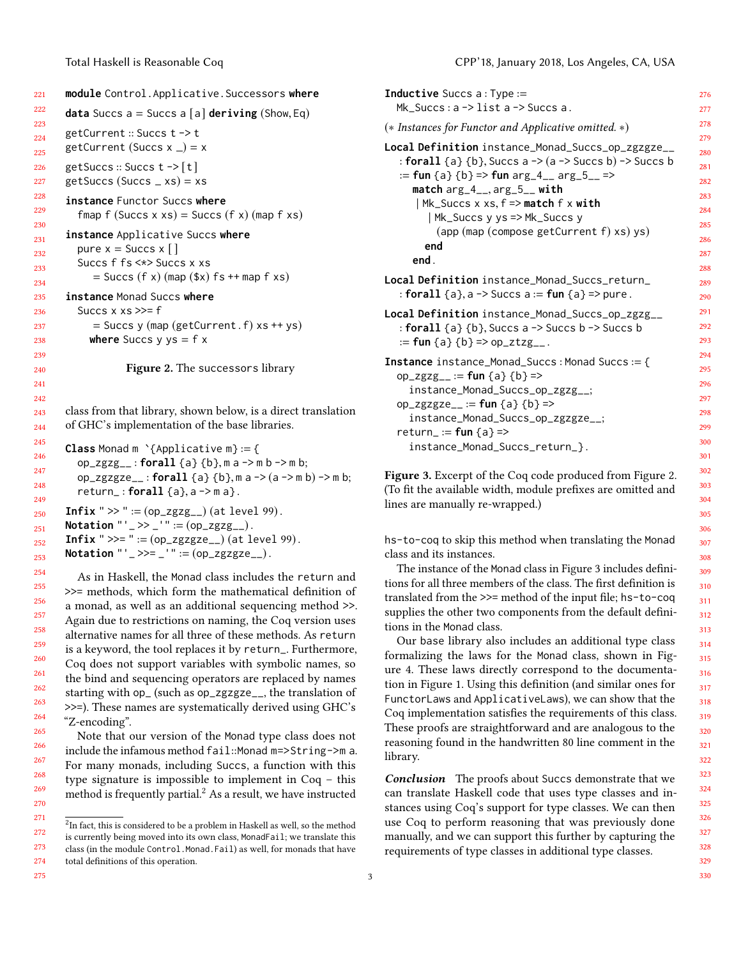<span id="page-2-0"></span>

| 221                             | module Control. Applicative. Successors where                                                                                                                                                                                                                  |
|---------------------------------|----------------------------------------------------------------------------------------------------------------------------------------------------------------------------------------------------------------------------------------------------------------|
| 222                             | <b>data</b> Succs $a =$ Succs $a [a]$ <b>deriving</b> (Show, Eq)                                                                                                                                                                                               |
| 223<br>224<br>225               | getCurrent :: Succs t -> t<br>getCurrent (Succs $x_$ ) = x                                                                                                                                                                                                     |
| 226<br>227                      | getSuccs :: Succs $t \rightarrow [t]$<br>$getSuccess (Success = xs) = xs$                                                                                                                                                                                      |
| 228<br>229<br>230               | instance Functor Succs where<br>fmap f (Succs x xs) = Succs (f x) (map f xs)                                                                                                                                                                                   |
| 231<br>232<br>233<br>234        | <b>instance</b> Applicative Succs where<br>pure $x = Succs x$ $\lceil$<br>Succs $f$ $fs$ $\leftrightarrow$ Succs $x$ $xs$<br>$=$ Succs (f x) (map $(*)$ fs $++$ map f xs)                                                                                      |
| 235<br>236<br>237<br>238        | <b>instance Monad Succs where</b><br>Succs $x$ $xs \geq F$<br>$=$ Succs y (map (getCurrent.f) xs ++ ys)<br>where Succs $y$ $ys = f x$                                                                                                                          |
| 239<br>240<br>241               | Figure 2. The successors library                                                                                                                                                                                                                               |
| 242<br>243<br>244               | class from that library, shown below, is a direct translation<br>of GHC's implementation of the base libraries.                                                                                                                                                |
| 245<br>246<br>247<br>248<br>249 | <b>Class</b> Monad m $\{Applicative m\} := \{$<br>op_zgzg__: $for all \{a\} \{b\}$ , m a -> m b -> m b;<br>op_zgzgze__: $forall 1 \{a\} \{b\}$ , m a $\Rightarrow$ (a $\Rightarrow$ m b) $\Rightarrow$ m b;<br>return_: forall $\{a\}$ , a $\rightarrow$ m a}. |
| 250<br>251<br>252<br>253        | <b>Infix</b> " $>>$ ":= (op_zgzg__) (at level 99).<br>Notation "'_>>_'" := $(op\_zgz_{--})$ .<br><b>Infix</b> " $>>=$ ":= (op_zgzgze__) (at level 99).<br>Notation "'_>>= _'" := $(op\_ggzge_$ .                                                               |
| 254                             | As in Haskell, the Monad class includes the return and                                                                                                                                                                                                         |

As in Haskell, the Monad class includes the return and >>= methods, which form the mathematical definition of a monad, as well as an additional sequencing method >>. Again due to restrictions on naming, the Coq version uses alternative names for all three of these methods. As return is a keyword, the tool replaces it by return\_. Furthermore, Coq does not support variables with symbolic names, so the bind and sequencing operators are replaced by names starting with op\_ (such as op\_zgzgze\_\_, the translation of >>=). These names are systematically derived using GHC's "Z-encoding".

Note that our version of the Monad type class does not include the infamous method fail::Monad m=>String->m a. For many monads, including Succs, a function with this type signature is impossible to implement in Coq – this method is frequently partial.<sup>[2](#page-2-2)</sup> As a result, we have instructed

<span id="page-2-1"></span>

| <b>Inductive</b> Succs $a:Type :=$<br>Mk Succs: $a \rightarrow$ list $a \rightarrow$ Succs $a$ .                                                                                                                                                                                                                                                                                                                           | 276<br>277                                                         |
|----------------------------------------------------------------------------------------------------------------------------------------------------------------------------------------------------------------------------------------------------------------------------------------------------------------------------------------------------------------------------------------------------------------------------|--------------------------------------------------------------------|
| (* Instances for Functor and Applicative omitted. *)                                                                                                                                                                                                                                                                                                                                                                       | 278                                                                |
| $\sf Local\ Definition\ instance\_Monad\_Success\_op\_zgzge\_$<br>: forall {a} {b}, Succs a $\rightarrow$ (a $\rightarrow$ Succs b) $\rightarrow$ Succs b<br>$:=$ fun {a} {b} => fun arg_4__ arg_5__ =><br>match $arg_4$ <sub>--</sub> , $arg_5$ <sub>--</sub> with<br>$Mk$ _Succs x xs, $f \Rightarrow$ match $f \times with$<br>  Mk_Succs y ys => Mk_Succs y<br>(app (map (compose getCurrent f) xs) ys)<br>end<br>end. | 279<br>280<br>281<br>282<br>283<br>284<br>285<br>286<br>287<br>288 |
| <code>Local</code> <code>Definition</code> <code>instance_Monad_Succs_return_</code><br>: forall $\{a\}$ , a $\Rightarrow$ Succs a := fun $\{a\} \Rightarrow$ pure.                                                                                                                                                                                                                                                        | 289<br>290                                                         |
| Local Definition instance_Monad_Succs_op_zgzg__<br>: forall $\{a\}$ $\{b\}$ , Succs a $\rightarrow$ Succs b $\rightarrow$ Succs b<br>$:=$ fun {a} {b} => op_ztzg__.                                                                                                                                                                                                                                                        | 291<br>292<br>293                                                  |
| Instance instance_Monad_Succs: Monad Succs := {<br>op_zgzg__ := $fun$ {a} {b} =><br>instance_Monad_Succs_op_zgzg__;<br>op_zgzgze__ := $fun$ {a} {b} =><br>instance_Monad_Succs_op_zgzgze__;<br>$return$ := fun $\{a\}$ =>                                                                                                                                                                                                  | 294<br>295<br>296<br>297<br>298<br>299<br>300                      |
| instance_Monad_Succs_return_}.                                                                                                                                                                                                                                                                                                                                                                                             | 301                                                                |

Figure 3. Excerpt of the Coq code produced from [Figure 2.](#page-2-0) (To fit the available width, module prefixes are omitted and lines are manually re-wrapped.)

hs-to-coq to skip this method when translating the Monad class and its instances.

The instance of the Monad class in [Figure 3](#page-2-1) includes definitions for all three members of the class. The first definition is translated from the >>= method of the input file; hs-to-coq supplies the other two components from the default definitions in the Monad class.

Our base library also includes an additional type class formalizing the laws for the Monad class, shown in [Fig](#page-3-0)[ure 4.](#page-3-0) These laws directly correspond to the documentation in [Figure 1.](#page-1-2) Using this definition (and similar ones for FunctorLaws and ApplicativeLaws), we can show that the Coq implementation satisfies the requirements of this class. These proofs are straightforward and are analogous to the reasoning found in the handwritten 80 line comment in the library.

Conclusion The proofs about Succs demonstrate that we can translate Haskell code that uses type classes and instances using Coq's support for type classes. We can then use Coq to perform reasoning that was previously done manually, and we can support this further by capturing the requirements of type classes in additional type classes.

```
274
275
```
273

```
3
```
<span id="page-2-2"></span><sup>272</sup> <sup>2</sup>In fact, this is considered to be a problem in Haskell as well, so the method is currently being moved into its own class, MonadFail; we translate this class (in the module Control.Monad.Fail) as well, for monads that have total definitions of this operation.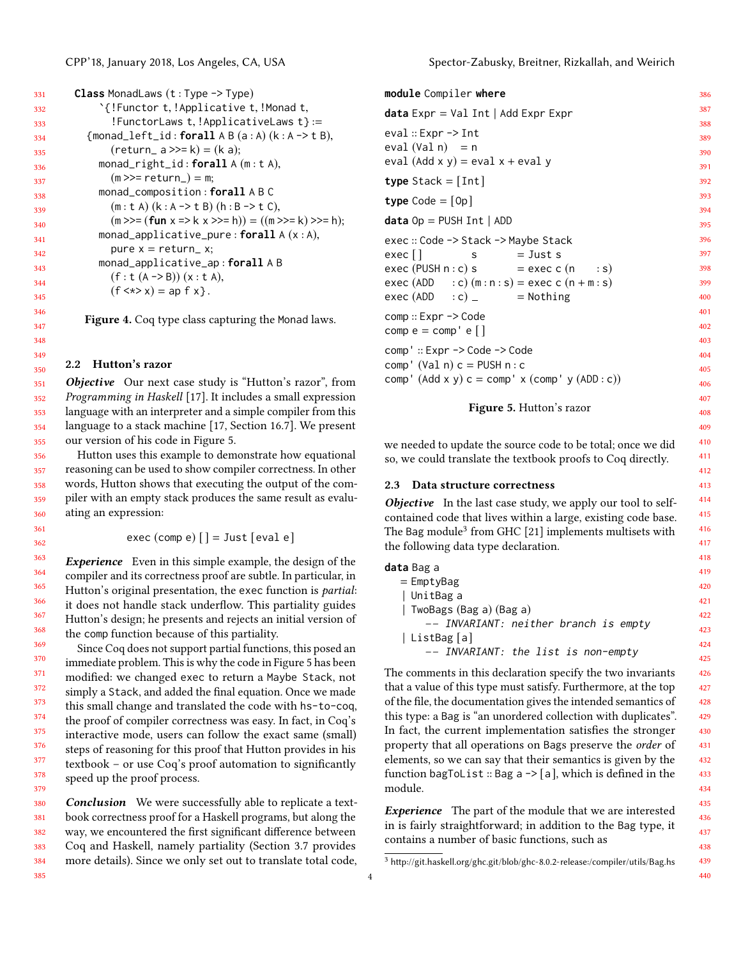<span id="page-3-0"></span>

| 331 | <b>Class MonadLaws <math>(t : Type \rightarrow Type)</math></b>   |
|-----|-------------------------------------------------------------------|
| 332 | `{!Functor t,!Applicative t,!Monad t,                             |
| 333 | !FunctorLaws t, !ApplicativeLaws $t$ :=                           |
| 334 | {monad_left_id: $forall$ A B (a:A) (k:A->t B),                    |
| 335 | $(\text{return}_{a} \geq \geq k) = (k a);$                        |
| 336 | monad_right_id: $forall$ A (m: t A),                              |
| 337 | $(m \gg = return$ neturn = m;                                     |
| 338 | monad_composition: forall A B C                                   |
| 339 | $(m : t A)$ $(k : A \rightarrow t B)$ $(h : B \rightarrow t C)$ , |
| 340 | $(m \gg)=(fun x \Rightarrow k x \gg=h))=((m \gg=k) \gg=h);$       |
| 341 | monad_applicative_pure: forall A (x:A),                           |
| 342 | pure $x =$ return_ $x$ ;                                          |
| 343 | monad_applicative_ap: <b>forall</b> A B                           |
| 344 | $(f : t (A \rightarrow B)) (x : t A)$                             |
| 345 | $(f \le x) = ap f x$ .                                            |
| 346 |                                                                   |
|     |                                                                   |

Figure 4. Coq type class capturing the Monad laws.

### <span id="page-3-3"></span>2.2 Hutton's razor

361 362

351 352 353 354 355 **Objective** Our next case study is "Hutton's razor", from Programming in Haskell [\[17\]](#page-12-4). It includes a small expression language with an interpreter and a simple compiler from this language to a stack machine [\[17,](#page-12-4) Section 16.7]. We present our version of his code in [Figure 5.](#page-3-1)

356 357 358 359 360 Hutton uses this example to demonstrate how equational reasoning can be used to show compiler correctness. In other words, Hutton shows that executing the output of the compiler with an empty stack produces the same result as evaluating an expression:

 $exec (comp e) [] = Just [eval e]$ 

363 364 365 366 367 368 **Experience** Even in this simple example, the design of the compiler and its correctness proof are subtle. In particular, in Hutton's original presentation, the exec function is partial: it does not handle stack underflow. This partiality guides Hutton's design; he presents and rejects an initial version of the comp function because of this partiality.

369 370 371 372 373 374 375 376 377 378 379 Since Coq does not support partial functions, this posed an immediate problem. This is why the code in [Figure 5](#page-3-1) has been modified: we changed exec to return a Maybe Stack, not simply a Stack, and added the final equation. Once we made this small change and translated the code with hs-to-coq, the proof of compiler correctness was easy. In fact, in Coq's interactive mode, users can follow the exact same (small) steps of reasoning for this proof that Hutton provides in his textbook – or use Coq's proof automation to significantly speed up the proof process.

380 381 382 383 384 385 **Conclusion** We were successfully able to replicate a textbook correctness proof for a Haskell programs, but along the way, we encountered the first significant difference between Coq and Haskell, namely partiality [\(Section 3.7](#page-8-0) provides more details). Since we only set out to translate total code,

# <span id="page-3-1"></span>**module** Compiler **where data** Expr = Val Int | Add Expr Expr eval :: Expr -> Int  $eval (Val n) = n$ eval  $(Add x y) = eval x + eval y$ **type** Stack =  $[Int]$ **type**  $Code = [Op]$ **data** Op = PUSH Int | ADD exec :: Code -> Stack -> Maybe Stack  $exec []$  s = Just s  $exec (PUSH n : c) s = exec c (n : s)$  $exec (ADD : c) (m : n : s) = exec c (n + m : s)$  $exec(ADD : c) =$   $= Nothing$ comp :: Expr -> Code comp  $e = comp' e$  [ ]

comp' :: Expr -> Code -> Code comp' (Val n)  $c =$  PUSH  $n : c$ comp' (Add x y)  $c =$  comp' x (comp' y (ADD : c))

Figure 5. Hutton's razor

we needed to update the source code to be total; once we did so, we could translate the textbook proofs to Coq directly.

#### 2.3 Data structure correctness

**Objective** In the last case study, we apply our tool to selfcontained code that lives within a large, existing code base. The Bag module<sup>[3](#page-3-2)</sup> from GHC [\[21\]](#page-12-0) implements multisets with the following data type declaration.

#### **data** Bag a

| = EmptyBag                            |
|---------------------------------------|
| ∣ UnitBag a                           |
| TwoBags (Bag a) (Bag a)               |
| -- INVARIANT: neither branch is empty |
| ListBag   a                           |
| -- INVARIANT: the list is non-empty   |

The comments in this declaration specify the two invariants that a value of this type must satisfy. Furthermore, at the top of the file, the documentation gives the intended semantics of this type: a Bag is "an unordered collection with duplicates". In fact, the current implementation satisfies the stronger property that all operations on Bags preserve the order of elements, so we can say that their semantics is given by the function bagToList :: Bag a  $\rightarrow$  [a], which is defined in the module.

**Experience** The part of the module that we are interested in is fairly straightforward; in addition to the Bag type, it contains a number of basic functions, such as

<span id="page-3-2"></span><sup>3</sup> <http://git.haskell.org/ghc.git/blob/ghc-8.0.2-release:/compiler/utils/Bag.hs>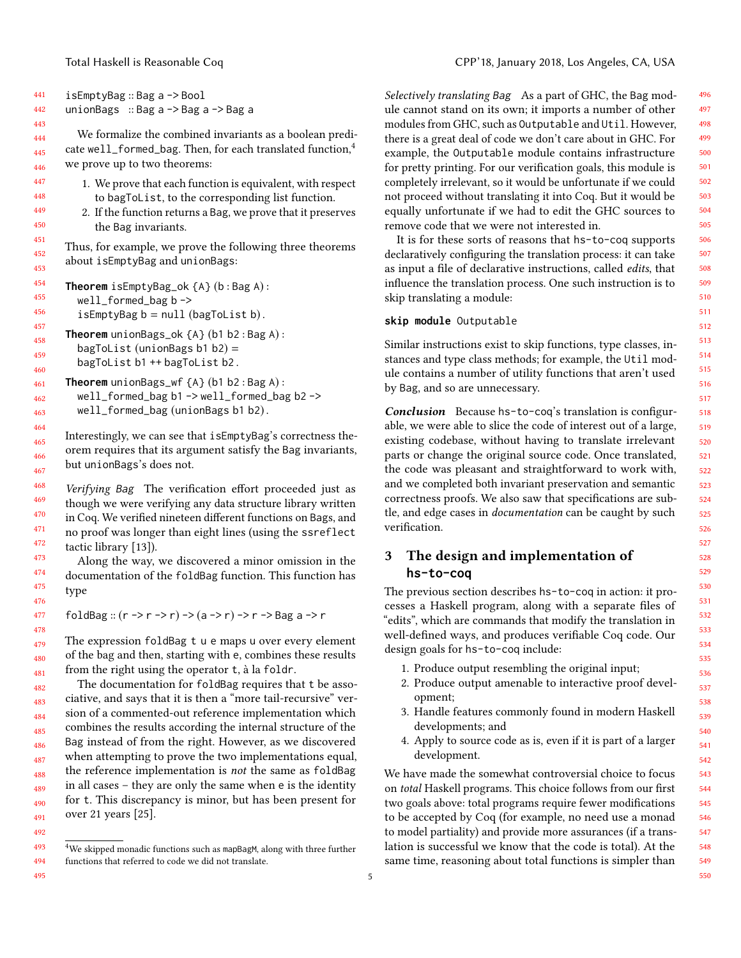```
441
442
443
444
445
446
447
448
449
450
451
452
453
454
455
456
457
458
459
460
461
462
      isEmptyBag :: Bag a -> Bool
      unionBags :: Bag a -> Bag a -> Bag a
        We formalize the combined invariants as a boolean predi-
      cate well_formed_bag. Then, for each translated function,4we prove up to two theorems:
         1. We prove that each function is equivalent, with respect
            to bagToList, to the corresponding list function.
         2. If the function returns a Bag, we prove that it preserves
            the Bag invariants.
      Thus, for example, we prove the following three theorems
      about isEmptyBag and unionBags:
      Theorem isEmptyBag_ok {A} (b : Bag A) :
        well_formed_bag b ->
        isEmptyBag b = null (bagToList b).Theorem unionBags_ok {A} (b1 b2 : Bag A) :
        bagToList (unionBags b1 b2) =
        bagToList b1 ++ bagToList b2 .
      Theorem unionBags_wf {A} (b1 b2 : Bag A) :
```
well\_formed\_bag b1 -> well\_formed\_bag b2 -> well\_formed\_bag (unionBags b1 b2) .

Interestingly, we can see that isEmptyBag's correctness theorem requires that its argument satisfy the Bag invariants, but unionBags's does not.

Verifying Bag The verification effort proceeded just as though we were verifying any data structure library written in Coq. We verified nineteen different functions on Bags, and no proof was longer than eight lines (using the ssreflect tactic library [\[13\]](#page-12-5)).

Along the way, we discovered a minor omission in the documentation of the foldBag function. This function has type

foldBag ::  $(r \rightarrow r \rightarrow r) \rightarrow (a \rightarrow r) \rightarrow r \rightarrow$  Bag a  $\rightarrow r$ 

479 480 The expression foldBag t u e maps u over every element of the bag and then, starting with e, combines these results from the right using the operator t, à la foldr.

481 482 483 484 485 486 487 488 489 490 491 The documentation for foldBag requires that t be associative, and says that it is then a "more tail-recursive" version of a commented-out reference implementation which combines the results according the internal structure of the Bag instead of from the right. However, as we discovered when attempting to prove the two implementations equal, the reference implementation is not the same as foldBag in all cases – they are only the same when e is the identity for t. This discrepancy is minor, but has been present for over 21 years [\[25\]](#page-12-6).

Selectively translating Bag As a part of GHC, the Bag module cannot stand on its own; it imports a number of other modules from GHC, such as Outputable and Util. However, there is a great deal of code we don't care about in GHC. For example, the Outputable module contains infrastructure for pretty printing. For our verification goals, this module is completely irrelevant, so it would be unfortunate if we could not proceed without translating it into Coq. But it would be equally unfortunate if we had to edit the GHC sources to remove code that we were not interested in.

It is for these sorts of reasons that hs-to-coq supports declaratively configuring the translation process: it can take as input a file of declarative instructions, called edits, that influence the translation process. One such instruction is to skip translating a module:

### **skip module** Outputable

Similar instructions exist to skip functions, type classes, instances and type class methods; for example, the Util module contains a number of utility functions that aren't used by Bag, and so are unnecessary.

Conclusion Because hs-to-coq's translation is configurable, we were able to slice the code of interest out of a large, existing codebase, without having to translate irrelevant parts or change the original source code. Once translated, the code was pleasant and straightforward to work with, and we completed both invariant preservation and semantic correctness proofs. We also saw that specifications are subtle, and edge cases in documentation can be caught by such verification.

# <span id="page-4-0"></span>3 The design and implementation of **hs-to-coq**

The previous section describes hs-to-coq in action: it processes a Haskell program, along with a separate files of "edits", which are commands that modify the translation in well-defined ways, and produces verifiable Coq code. Our design goals for hs-to-coq include:

- 1. Produce output resembling the original input;
- 2. Produce output amenable to interactive proof development;
- 3. Handle features commonly found in modern Haskell developments; and
- 4. Apply to source code as is, even if it is part of a larger development.

We have made the somewhat controversial choice to focus on total Haskell programs. This choice follows from our first two goals above: total programs require fewer modifications to be accepted by Coq (for example, no need use a monad to model partiality) and provide more assurances (if a translation is successful we know that the code is total). At the same time, reasoning about total functions is simpler than

<span id="page-4-1"></span><sup>4</sup>We skipped monadic functions such as mapBagM, along with three further functions that referred to code we did not translate.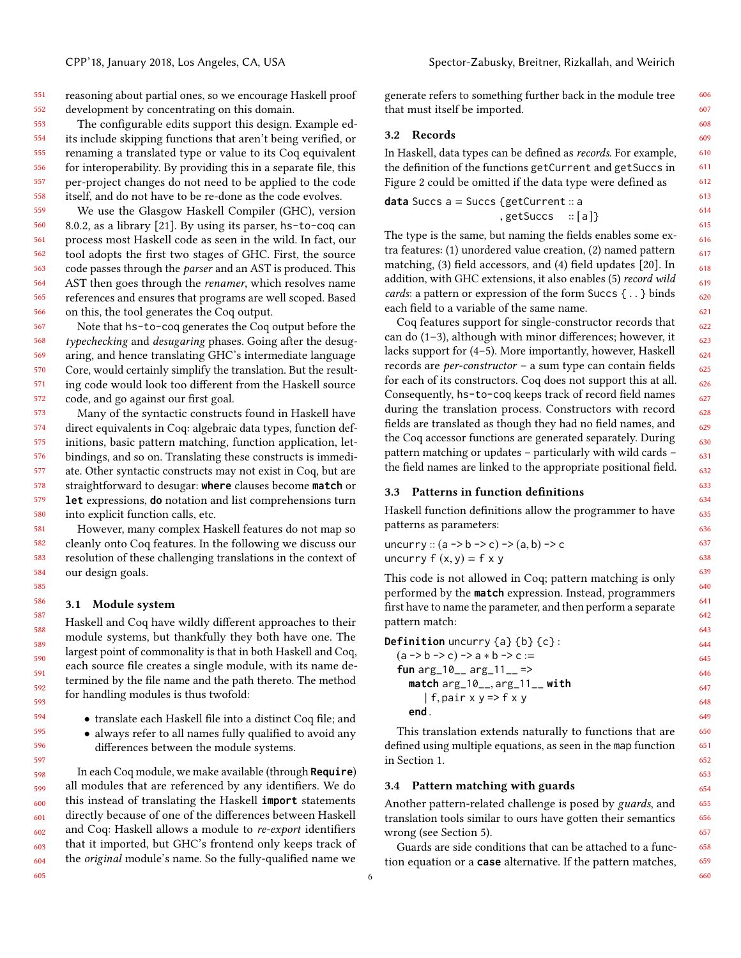551 552 reasoning about partial ones, so we encourage Haskell proof development by concentrating on this domain.

553 554 555 556 557 558 The configurable edits support this design. Example edits include skipping functions that aren't being verified, or renaming a translated type or value to its Coq equivalent for interoperability. By providing this in a separate file, this per-project changes do not need to be applied to the code itself, and do not have to be re-done as the code evolves.

559 560 561 562 563 564 565 566 We use the Glasgow Haskell Compiler (GHC), version 8.0.2, as a library [\[21\]](#page-12-0). By using its parser, hs-to-coq can process most Haskell code as seen in the wild. In fact, our tool adopts the first two stages of GHC. First, the source code passes through the parser and an AST is produced. This AST then goes through the *renamer*, which resolves name references and ensures that programs are well scoped. Based on this, the tool generates the Coq output.

567 568 569 570 571 572 Note that hs-to-coq generates the Coq output before the typechecking and desugaring phases. Going after the desugaring, and hence translating GHC's intermediate language Core, would certainly simplify the translation. But the resulting code would look too different from the Haskell source code, and go against our first goal.

573 574 575 576 577 578 579 580 Many of the syntactic constructs found in Haskell have direct equivalents in Coq: algebraic data types, function definitions, basic pattern matching, function application, letbindings, and so on. Translating these constructs is immediate. Other syntactic constructs may not exist in Coq, but are straightforward to desugar: **where** clauses become **match** or **let** expressions, **do** notation and list comprehensions turn into explicit function calls, etc.

581 582 583 584 However, many complex Haskell features do not map so cleanly onto Coq features. In the following we discuss our resolution of these challenging translations in the context of our design goals.

#### 3.1 Module system

Haskell and Coq have wildly different approaches to their module systems, but thankfully they both have one. The largest point of commonality is that in both Haskell and Coq, each source file creates a single module, with its name determined by the file name and the path thereto. The method for handling modules is thus twofold:

- translate each Haskell file into a distinct Coq file; and
- always refer to all names fully qualified to avoid any differences between the module systems.

In each Coq module, we make available (through **Require**) all modules that are referenced by any identifiers. We do this instead of translating the Haskell **import** statements directly because of one of the differences between Haskell and Coq: Haskell allows a module to re-export identifiers that it imported, but GHC's frontend only keeps track of the original module's name. So the fully-qualified name we

generate refers to something further back in the module tree that must itself be imported.

#### 3.2 Records

In Haskell, data types can be defined as records. For example, the definition of the functions getCurrent and getSuccs in [Figure 2](#page-2-0) could be omitted if the data type were defined as

|  | <b>data</b> Succs $a =$ Succs {getCurrent $:: a$ |                    |  |  |
|--|--------------------------------------------------|--------------------|--|--|
|  |                                                  | , getSuccess ::  a |  |  |
|  |                                                  |                    |  |  |

The type is the same, but naming the fields enables some extra features: (1) unordered value creation, (2) named pattern matching, (3) field accessors, and (4) field updates [\[20\]](#page-12-7). In addition, with GHC extensions, it also enables (5) record wild cards: a pattern or expression of the form Succs { . . } binds each field to a variable of the same name.

Coq features support for single-constructor records that can do (1–3), although with minor differences; however, it lacks support for (4–5). More importantly, however, Haskell records are per-constructor – a sum type can contain fields for each of its constructors. Coq does not support this at all. Consequently, hs-to-coq keeps track of record field names during the translation process. Constructors with record fields are translated as though they had no field names, and the Coq accessor functions are generated separately. During pattern matching or updates – particularly with wild cards – the field names are linked to the appropriate positional field.

#### 3.3 Patterns in function definitions

Haskell function definitions allow the programmer to have patterns as parameters:

uncurry ::  $(a -b -c)$  ->  $(a, b)$  -> c uncurry  $f(x, y) = f(x, y)$ 

This code is not allowed in Coq; pattern matching is only performed by the **match** expression. Instead, programmers first have to name the parameter, and then perform a separate pattern match:

**Definition** uncurry  $\{a\}$   $\{b\}$   $\{c\}$ :  $(a -> b -> c) -> a * b -> c :=$ **fun** arg\_10\_\_ arg\_11\_\_ => **match** arg\_10\_\_, arg\_11\_\_ **with** | f, pair  $x y \Rightarrow f x y$ 

This translation extends naturally to functions that are defined using multiple equations, as seen in the map function in [Section 1.](#page-0-0)

#### <span id="page-5-0"></span>3.4 Pattern matching with guards

**end** .

Another pattern-related challenge is posed by guards, and translation tools similar to ours have gotten their semantics wrong (see [Section 5\)](#page-10-0).

Guards are side conditions that can be attached to a function equation or a **case** alternative. If the pattern matches,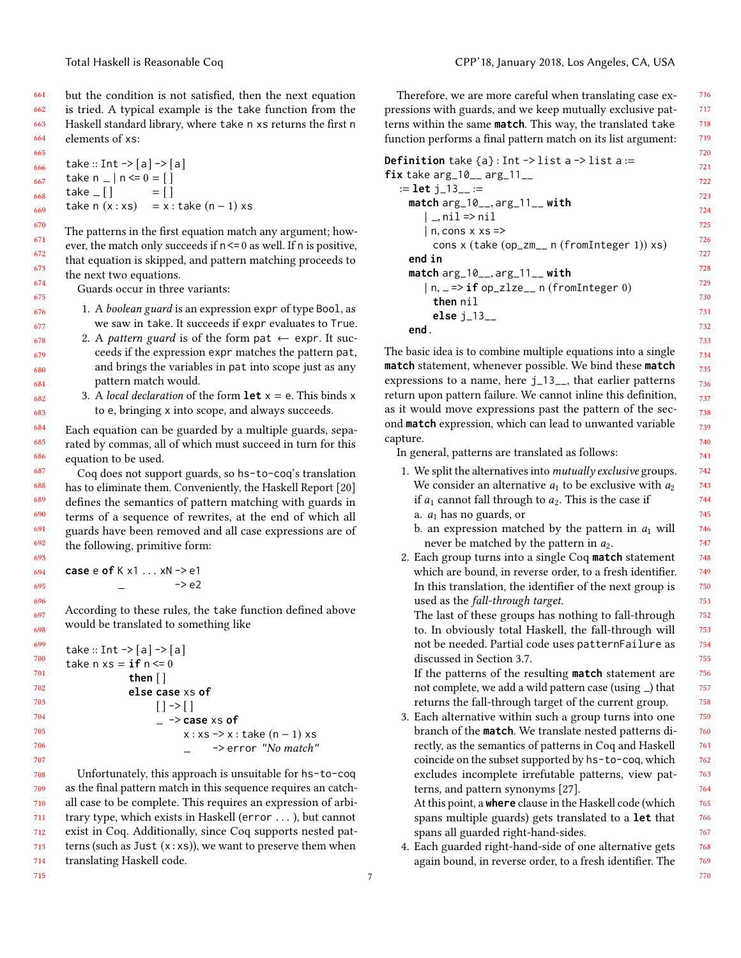661 662 663 664 but the condition is not satisfied, then the next equation is tried. A typical example is the take function from the Haskell standard library, where take n xs returns the first n elements of xs:

```
665
666
667
668
669
          take :: Int \rightarrow [a] \rightarrow [a]
          take n = | n \le 0 = [ ]take \begin{bmatrix} \end{bmatrix} = \begin{bmatrix} \end{bmatrix}take n(x : xs) = x : take (n - 1) xs
```
670 671 672 673 674 The patterns in the first equation match any argument; however, the match only succeeds if  $n \leq 0$  as well. If  $n$  is positive, that equation is skipped, and pattern matching proceeds to the next two equations.

Guards occur in three variants:

- 1. A boolean guard is an expression expr of type Bool, as we saw in take. It succeeds if expr evaluates to True.
- 2. A pattern guard is of the form pat  $\leftarrow$  expr. It succeeds if the expression expr matches the pattern pat, and brings the variables in pat into scope just as any pattern match would.
	- 3. A *local declaration* of the form  $\text{let } x = e$ . This binds x to e, bringing x into scope, and always succeeds.

Each equation can be guarded by a multiple guards, separated by commas, all of which must succeed in turn for this equation to be used.

Coq does not support guards, so hs-to-coq's translation has to eliminate them. Conveniently, the Haskell Report [\[20\]](#page-12-7) defines the semantics of pattern matching with guards in terms of a sequence of rewrites, at the end of which all guards have been removed and all case expressions are of the following, primitive form:

**case** <sup>e</sup> **of** K x1 . . . xN -> e1  $\rightarrow$  e2

According to these rules, the take function defined above would be translated to something like

```
699
         take :: Int \rightarrow [a] \rightarrow [a]
700
         take n \times s = \mathbf{if} \ n \leq 0701
                          then [ ]
702
                          else case xs of
703
                                 [ ] \rightarrow ] ]704
                                  -> case xs of
705
                                         x : xs -> x : take (n - 1) xs706
                                                -> error "No match"
                                         \mathbb{R}^2707
```
708 709 710 711 712 713 714 715 Unfortunately, this approach is unsuitable for hs-to-coq as the final pattern match in this sequence requires an catchall case to be complete. This requires an expression of arbitrary type, which exists in Haskell (error . . . ), but cannot exist in Coq. Additionally, since Coq supports nested patterns (such as Just  $(x : xs)$ ), we want to preserve them when translating Haskell code.

Therefore, we are more careful when translating case expressions with guards, and we keep mutually exclusive patterns within the same **match**. This way, the translated take function performs a final pattern match on its list argument:

The basic idea is to combine multiple equations into a single **match** statement, whenever possible. We bind these **match** expressions to a name, here j\_13\_\_, that earlier patterns return upon pattern failure. We cannot inline this definition, as it would move expressions past the pattern of the second **match** expression, which can lead to unwanted variable capture.

In general, patterns are translated as follows:

- 1. We split the alternatives into mutually exclusive groups. We consider an alternative  $a_1$  to be exclusive with  $a_2$ if  $a_1$  cannot fall through to  $a_2$ . This is the case if a.  $a_1$  has no guards, or
	- b. an expression matched by the pattern in  $a_1$  will never be matched by the pattern in  $a_2$ .
- 2. Each group turns into a single Coq **match** statement which are bound, in reverse order, to a fresh identifier. In this translation, the identifier of the next group is used as the fall-through target.

The last of these groups has nothing to fall-through to. In obviously total Haskell, the fall-through will not be needed. Partial code uses patternFailure as discussed in [Section 3.7.](#page-8-0)

If the patterns of the resulting **match** statement are not complete, we add a wild pattern case (using  $\equiv$  ) that returns the fall-through target of the current group.

3. Each alternative within such a group turns into one branch of the **match**. We translate nested patterns directly, as the semantics of patterns in Coq and Haskell coincide on the subset supported by hs-to-coq, which excludes incomplete irrefutable patterns, view patterns, and pattern synonyms [\[27\]](#page-12-8). At this point, a **where** clause in the Haskell code (which spans multiple guards) gets translated to a **let** that

spans all guarded right-hand-sides. 4. Each guarded right-hand-side of one alternative gets

again bound, in reverse order, to a fresh identifier. The

768 769 770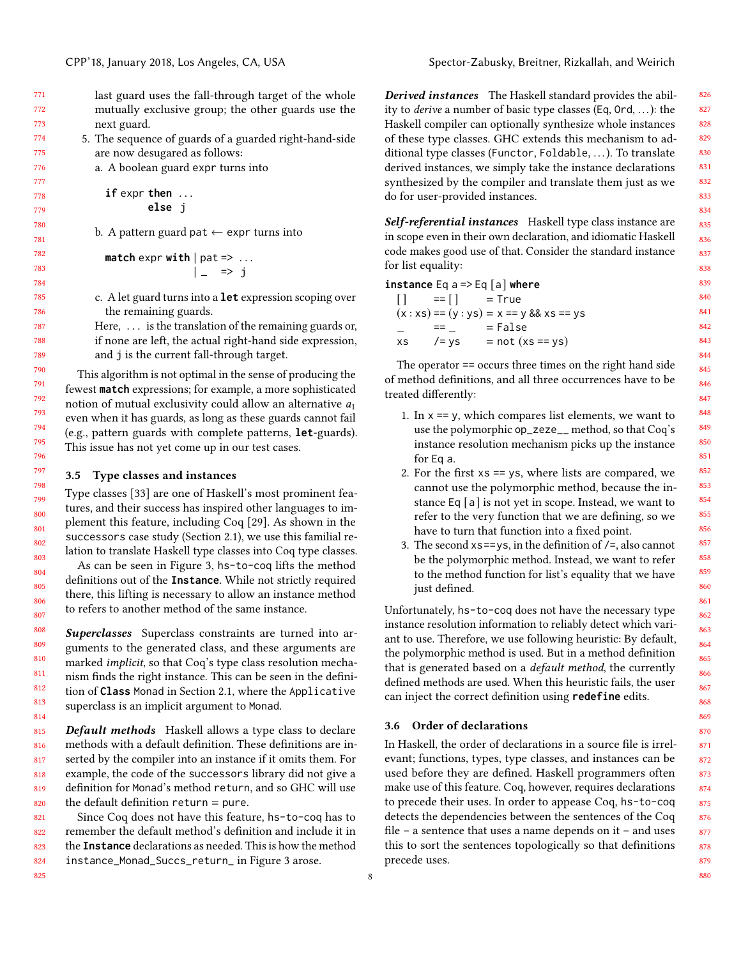825

last guard uses the fall-through target of the whole mutually exclusive group; the other guards use the next guard. 5. The sequence of guards of a guarded right-hand-side are now desugared as follows:

a. A boolean guard expr turns into

**if** expr **then** . . . **else** j

b. A pattern guard pat  $\leftarrow$  expr turns into

```
match expr width | pat => \dots\vert => j
```
c. A let guard turns into a **let** expression scoping over the remaining guards.

Here, . . . is the translation of the remaining guards or, if none are left, the actual right-hand side expression, and j is the current fall-through target.

This algorithm is not optimal in the sense of producing the fewest **match** expressions; for example, a more sophisticated notion of mutual exclusivity could allow an alternative  $a_1$ even when it has guards, as long as these guards cannot fail (e.g., pattern guards with complete patterns, **let**-guards). This issue has not yet come up in our test cases.

#### <span id="page-7-0"></span>3.5 Type classes and instances

Type classes [\[33\]](#page-12-9) are one of Haskell's most prominent features, and their success has inspired other languages to implement this feature, including Coq [\[29\]](#page-12-10). As shown in the successors case study [\(Section 2.1\)](#page-1-3), we use this familial relation to translate Haskell type classes into Coq type classes.

As can be seen in [Figure 3,](#page-2-1) hs-to-coq lifts the method definitions out of the **Instance**. While not strictly required there, this lifting is necessary to allow an instance method to refers to another method of the same instance.

Superclasses Superclass constraints are turned into arguments to the generated class, and these arguments are marked implicit, so that Coq's type class resolution mechanism finds the right instance. This can be seen in the definition of **Class** Monad in [Section 2.1,](#page-1-4) where the Applicative superclass is an implicit argument to Monad.

815 816 817 818 819 820 Default methods Haskell allows a type class to declare methods with a default definition. These definitions are inserted by the compiler into an instance if it omits them. For example, the code of the successors library did not give a definition for Monad's method return, and so GHC will use the default definition return = pure.

821 822 823 824 Since Coq does not have this feature, hs-to-coq has to remember the default method's definition and include it in the **Instance** declarations as needed. This is how the method instance\_Monad\_Succs\_return\_ in [Figure 3](#page-2-1) arose.

Derived instances The Haskell standard provides the ability to derive a number of basic type classes (Eq, Ord, . . .): the Haskell compiler can optionally synthesize whole instances of these type classes. GHC extends this mechanism to additional type classes (Functor, Foldable, . . .). To translate derived instances, we simply take the instance declarations synthesized by the compiler and translate them just as we do for user-provided instances.

Self-referential instances Haskell type class instance are in scope even in their own declaration, and idiomatic Haskell code makes good use of that. Consider the standard instance for list equality:

| instance Eq $a \Rightarrow Eq$ [a] where |  |                                                                           |                                                |  |  |
|------------------------------------------|--|---------------------------------------------------------------------------|------------------------------------------------|--|--|
|                                          |  | $\begin{bmatrix} \end{bmatrix}$ == $\begin{bmatrix} \end{bmatrix}$ = True |                                                |  |  |
|                                          |  |                                                                           | $(x : xs) == (y : ys) = x == y & 8 & x = = ys$ |  |  |
|                                          |  |                                                                           | $=$ False                                      |  |  |
|                                          |  | $xs$ /= ys                                                                | $=$ not (xs $==$ ys)                           |  |  |

The operator == occurs three times on the right hand side of method definitions, and all three occurrences have to be treated differently:

- 1. In  $x == y$ , which compares list elements, we want to use the polymorphic op\_zeze\_\_ method, so that Coq's instance resolution mechanism picks up the instance for Eq a.
- 2. For the first xs == ys, where lists are compared, we cannot use the polymorphic method, because the instance Eq [a] is not yet in scope. Instead, we want to refer to the very function that we are defining, so we have to turn that function into a fixed point.
- 3. The second xs==ys, in the definition of /=, also cannot be the polymorphic method. Instead, we want to refer to the method function for list's equality that we have just defined.

Unfortunately, hs-to-coq does not have the necessary type instance resolution information to reliably detect which variant to use. Therefore, we use following heuristic: By default, the polymorphic method is used. But in a method definition that is generated based on a default method, the currently defined methods are used. When this heuristic fails, the user can inject the correct definition using **redefine** edits.

### 3.6 Order of declarations

In Haskell, the order of declarations in a source file is irrelevant; functions, types, type classes, and instances can be used before they are defined. Haskell programmers often make use of this feature. Coq, however, requires declarations to precede their uses. In order to appease Coq, hs-to-coq detects the dependencies between the sentences of the Coq file – a sentence that uses a name depends on it – and uses this to sort the sentences topologically so that definitions precede uses.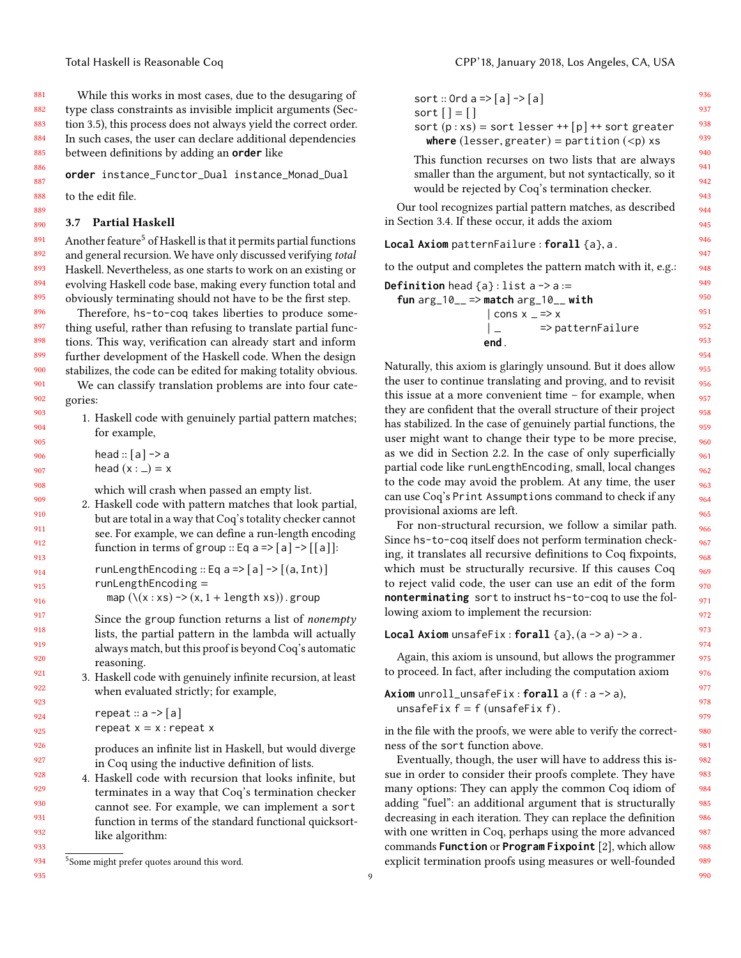881 882 883 884 885 While this works in most cases, due to the desugaring of type class constraints as invisible implicit arguments [\(Sec](#page-7-0)[tion 3.5\)](#page-7-0), this process does not always yield the correct order. In such cases, the user can declare additional dependencies between definitions by adding an **order** like

**order** instance\_Functor\_Dual instance\_Monad\_Dual

888 to the edit file.

886 887

889

#### <span id="page-8-0"></span>890 3.7 Partial Haskell

891 892 893 894 895 Another feature<sup>[5](#page-8-1)</sup> of Haskell is that it permits partial functions and general recursion. We have only discussed verifying total Haskell. Nevertheless, as one starts to work on an existing or evolving Haskell code base, making every function total and obviously terminating should not have to be the first step.

896 897 898 899 900 Therefore, hs-to-coq takes liberties to produce something useful, rather than refusing to translate partial functions. This way, verification can already start and inform further development of the Haskell code. When the design stabilizes, the code can be edited for making totality obvious.

901 902 903 We can classify translation problems are into four categories:

1. Haskell code with genuinely partial pattern matches; for example,

> head  $:: [a] \rightarrow a$ head  $(x : \_) = x$

which will crash when passed an empty list.

2. Haskell code with pattern matches that look partial, but are total in a way that Coq's totality checker cannot see. For example, we can define a run-length encoding function in terms of group :: Eq  $a \Rightarrow [a] \Rightarrow [[a]]$ :

runLengthEncoding :: Eq a => [a] ->  $[(a, Int)]$ runLengthEncoding = map  $(\lambda(x : xs) \rightarrow (x, 1 + length xs))$ . group

Since the group function returns a list of nonempty

lists, the partial pattern in the lambda will actually always match, but this proof is beyond Coq's automatic reasoning.

3. Haskell code with genuinely infinite recursion, at least when evaluated strictly; for example,

```
repeat : a \rightarrow [a]repeat x = x : repeat x
```
produces an infinite list in Haskell, but would diverge in Coq using the inductive definition of lists.

4. Haskell code with recursion that looks infinite, but terminates in a way that Coq's termination checker cannot see. For example, we can implement a sort function in terms of the standard functional quicksortlike algorithm:

<span id="page-8-1"></span>934 <sup>5</sup>Some might prefer quotes around this word.

Total Haskell is Reasonable Coq CPP'18, January 2018, Los Angeles, CA, USA

936 937 938 939 940 941 942 943 944 945 946 947 948 949 950 951 952 953 954 955 956 957 sort :: Ord a => [a] -> [a] sort [ ] = [ ] sort (p : xs) = sort lesser ++ [p] ++ sort greater **where** (lesser, greater) <sup>=</sup> partition (<p) xs This function recurses on two lists that are always smaller than the argument, but not syntactically, so it would be rejected by Coq's termination checker. Our tool recognizes partial pattern matches, as described in [Section 3.4.](#page-5-0) If these occur, it adds the axiom **Local Axiom** patternFailure : **forall** {a}, <sup>a</sup> . to the output and completes the pattern match with it, e.g.: **Definition** head {a} : list a -> a := **fun** arg\_10\_\_ => **match** arg\_10\_\_ **with** | cons x => x | => patternFailure **end** . Naturally, this axiom is glaringly unsound. But it does allow

the user to continue translating and proving, and to revisit this issue at a more convenient time – for example, when they are confident that the overall structure of their project has stabilized. In the case of genuinely partial functions, the user might want to change their type to be more precise, as we did in [Section 2.2.](#page-3-3) In the case of only superficially partial code like runLengthEncoding, small, local changes to the code may avoid the problem. At any time, the user can use Coq's Print Assumptions command to check if any provisional axioms are left.

For non-structural recursion, we follow a similar path. Since hs-to-coq itself does not perform termination checking, it translates all recursive definitions to Coq fixpoints, which must be structurally recursive. If this causes Coq to reject valid code, the user can use an edit of the form **nonterminating** sort to instruct hs-to-coq to use the following axiom to implement the recursion:

### **Local Axiom** unsafeFix:  $forall$  {a},  $(a \rightarrow a) \rightarrow a$ .

Again, this axiom is unsound, but allows the programmer to proceed. In fact, after including the computation axiom

```
Axiom unroll_unsafeFix : forall a (f : a -> a),
  unsafeFix f = f (unsafeFix f).
```
in the file with the proofs, we were able to verify the correctness of the sort function above.

Eventually, though, the user will have to address this issue in order to consider their proofs complete. They have many options: They can apply the common Coq idiom of adding "fuel": an additional argument that is structurally decreasing in each iteration. They can replace the definition with one written in Coq, perhaps using the more advanced commands **Function** or **Program Fixpoint** [\[2\]](#page-12-11), which allow explicit termination proofs using measures or well-founded

935

 $\overline{Q}$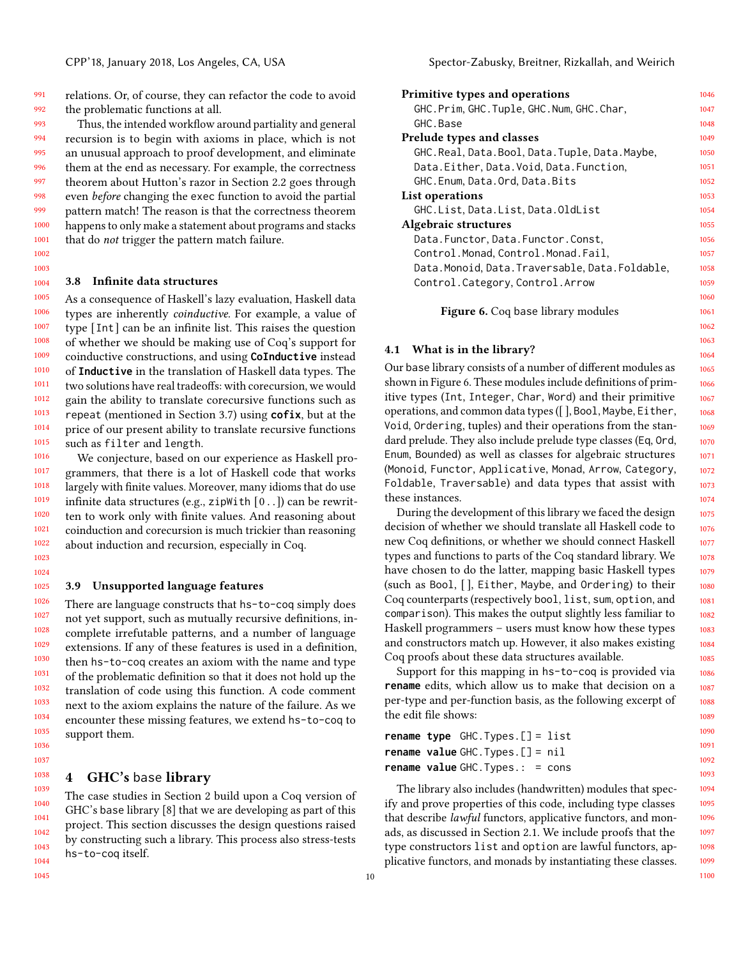991 992 relations. Or, of course, they can refactor the code to avoid the problematic functions at all.

993 994 995 996 997 998 999 1000 1001 Thus, the intended workflow around partiality and general recursion is to begin with axioms in place, which is not an unusual approach to proof development, and eliminate them at the end as necessary. For example, the correctness theorem about Hutton's razor in [Section 2.2](#page-3-3) goes through even before changing the exec function to avoid the partial pattern match! The reason is that the correctness theorem happens to only make a statement about programs and stacks that do not trigger the pattern match failure.

#### 1004 3.8 Infinite data structures

1002 1003

1023 1024 1025

1005 1006 1007 1008 1009 1010 1011 1012 1013 1014 1015 As a consequence of Haskell's lazy evaluation, Haskell data types are inherently coinductive. For example, a value of type [Int] can be an infinite list. This raises the question of whether we should be making use of Coq's support for coinductive constructions, and using **CoInductive** instead of **Inductive** in the translation of Haskell data types. The two solutions have real tradeoffs: with corecursion, we would gain the ability to translate corecursive functions such as repeat (mentioned in [Section 3.7\)](#page-8-0) using **cofix**, but at the price of our present ability to translate recursive functions such as filter and length.

1016 1017 1018 1019 1020 1021 1022 We conjecture, based on our experience as Haskell programmers, that there is a lot of Haskell code that works largely with finite values. Moreover, many idioms that do use infinite data structures (e.g., zipWith  $[0, .]$ ) can be rewritten to work only with finite values. And reasoning about coinduction and corecursion is much trickier than reasoning about induction and recursion, especially in Coq.

#### 3.9 Unsupported language features

1026 1027 1028 1029 1030 1031 1032 1033 1034 1035 1036 There are language constructs that hs-to-coq simply does not yet support, such as mutually recursive definitions, incomplete irrefutable patterns, and a number of language extensions. If any of these features is used in a definition, then hs-to-coq creates an axiom with the name and type of the problematic definition so that it does not hold up the translation of code using this function. A code comment next to the axiom explains the nature of the failure. As we encounter these missing features, we extend hs-to-coq to support them.

# <span id="page-9-0"></span>4 GHC's base library

The case studies in [Section 2](#page-1-0) build upon a Coq version of GHC's base library [\[8\]](#page-12-12) that we are developing as part of this project. This section discusses the design questions raised by constructing such a library. This process also stress-tests hs-to-coq itself.

CPP'18, January 2018, Los Angeles, CA, USA Spector-Zabusky, Breitner, Rizkallah, and Weirich

<span id="page-9-1"></span>

| Primitive types and operations                   | 1046 |
|--------------------------------------------------|------|
| GHC.Prim, GHC.Tuple, GHC.Num, GHC.Char,          | 1047 |
| GHC.Base                                         | 1048 |
| <b>Prelude types and classes</b>                 | 1049 |
| GHC. Real, Data. Bool, Data. Tuple, Data. Maybe, | 1050 |
| Data. Either, Data. Void, Data. Function,        | 1051 |
| GHC. Enum, Data. Ord, Data. Bits                 | 1052 |
| List operations                                  | 1053 |
| GHC.List, Data.List, Data.OldList                | 1054 |
| Algebraic structures                             | 1055 |
| Data. Functor, Data. Functor. Const,             | 1056 |
| Control.Monad, Control.Monad.Fail,               | 1057 |
| Data.Monoid, Data.Traversable, Data.Foldable,    | 1058 |
| Control. Category, Control. Arrow                | 1059 |
|                                                  | 1060 |

Figure 6. Coq base library modules

#### 4.1 What is in the library?

Our base library consists of a number of different modules as shown in Figure [6.](#page-9-1) These modules include definitions of primitive types (Int, Integer, Char, Word) and their primitive operations, and common data types ([ ], Bool, Maybe, Either, Void, Ordering, tuples) and their operations from the standard prelude. They also include prelude type classes (Eq, Ord, Enum, Bounded) as well as classes for algebraic structures (Monoid, Functor, Applicative, Monad, Arrow, Category, Foldable, Traversable) and data types that assist with these instances.

During the development of this library we faced the design decision of whether we should translate all Haskell code to new Coq definitions, or whether we should connect Haskell types and functions to parts of the Coq standard library. We have chosen to do the latter, mapping basic Haskell types (such as Bool, [ ], Either, Maybe, and Ordering) to their Coq counterparts (respectively bool, list, sum, option, and comparison). This makes the output slightly less familiar to Haskell programmers – users must know how these types and constructors match up. However, it also makes existing Coq proofs about these data structures available.

Support for this mapping in hs-to-coq is provided via **rename** edits, which allow us to make that decision on a per-type and per-function basis, as the following excerpt of the edit file shows:

|  | <b>rename type</b> $GHC.Types.[] = list$ |  |
|--|------------------------------------------|--|
|  | $r$ ename value GHC. Types. $[] = nil$   |  |
|  | <b>rename value</b> $GHC.Types.: = cons$ |  |

The library also includes (handwritten) modules that specify and prove properties of this code, including type classes that describe lawful functors, applicative functors, and monads, as discussed in [Section 2.1.](#page-1-3) We include proofs that the type constructors list and option are lawful functors, applicative functors, and monads by instantiating these classes.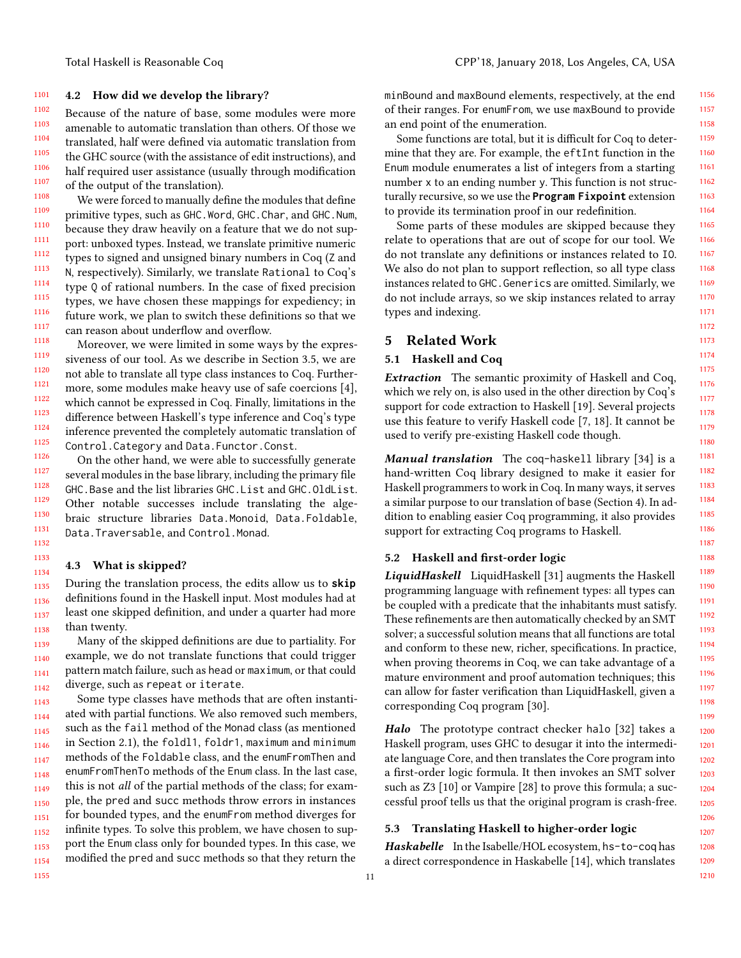#### 1101 4.2 How did we develop the library?

1102 1103 1104 1105 1106 1107 Because of the nature of base, some modules were more amenable to automatic translation than others. Of those we translated, half were defined via automatic translation from the GHC source (with the assistance of edit instructions), and half required user assistance (usually through modification of the output of the translation).

1108 1109 1110 1111 1112 1113 1114 1115 1116 1117 We were forced to manually define the modules that define primitive types, such as GHC.Word, GHC.Char, and GHC.Num, because they draw heavily on a feature that we do not support: unboxed types. Instead, we translate primitive numeric types to signed and unsigned binary numbers in Coq (Z and N, respectively). Similarly, we translate Rational to Coq's type Q of rational numbers. In the case of fixed precision types, we have chosen these mappings for expediency; in future work, we plan to switch these definitions so that we can reason about underflow and overflow.

1118 1119 1120 1121 1122 1123 1124 1125 Moreover, we were limited in some ways by the expressiveness of our tool. As we describe in [Section 3.5,](#page-7-0) we are not able to translate all type class instances to Coq. Furthermore, some modules make heavy use of safe coercions [\[4\]](#page-12-13), which cannot be expressed in Coq. Finally, limitations in the difference between Haskell's type inference and Coq's type inference prevented the completely automatic translation of Control.Category and Data.Functor.Const.

1126 1127 1128 1129 1130 1131 1132 On the other hand, we were able to successfully generate several modules in the base library, including the primary file GHC.Base and the list libraries GHC.List and GHC.OldList. Other notable successes include translating the algebraic structure libraries Data.Monoid, Data.Foldable, Data.Traversable, and Control.Monad.

#### 1133 1134 4.3 What is skipped?

1155

1135 1136 1137 1138 During the translation process, the edits allow us to **skip** definitions found in the Haskell input. Most modules had at least one skipped definition, and under a quarter had more than twenty.

1139 1140 1141 1142 Many of the skipped definitions are due to partiality. For example, we do not translate functions that could trigger pattern match failure, such as head or maximum, or that could diverge, such as repeat or iterate.

1143 1144 1145 1146 1147 1148 1149 1150 1151 1152 1153 1154 Some type classes have methods that are often instantiated with partial functions. We also removed such members, such as the fail method of the Monad class (as mentioned in [Section 2.1\)](#page-1-3), the foldl1, foldr1, maximum and minimum methods of the Foldable class, and the enumFromThen and enumFromThenTo methods of the Enum class. In the last case, this is not all of the partial methods of the class; for example, the pred and succ methods throw errors in instances for bounded types, and the enumFrom method diverges for infinite types. To solve this problem, we have chosen to support the Enum class only for bounded types. In this case, we modified the pred and succ methods so that they return the

minBound and maxBound elements, respectively, at the end of their ranges. For enumFrom, we use maxBound to provide an end point of the enumeration.

Some functions are total, but it is difficult for Coq to determine that they are. For example, the eftInt function in the Enum module enumerates a list of integers from a starting number x to an ending number y. This function is not structurally recursive, so we use the **Program Fixpoint** extension to provide its termination proof in our redefinition.

Some parts of these modules are skipped because they relate to operations that are out of scope for our tool. We do not translate any definitions or instances related to IO. We also do not plan to support reflection, so all type class instances related to GHC.Generics are omitted. Similarly, we do not include arrays, so we skip instances related to array types and indexing.

# <span id="page-10-0"></span>5 Related Work

### 5.1 Haskell and Coq

**Extraction** The semantic proximity of Haskell and Coq, which we rely on, is also used in the other direction by Coq's support for code extraction to Haskell [\[19\]](#page-12-14). Several projects use this feature to verify Haskell code [\[7,](#page-12-15) [18\]](#page-12-16). It cannot be used to verify pre-existing Haskell code though.

Manual translation The coq-haskell library [\[34\]](#page-12-17) is a hand-written Coq library designed to make it easier for Haskell programmers to work in Coq. In many ways, it serves a similar purpose to our translation of base [\(Section 4\)](#page-9-0). In addition to enabling easier Coq programming, it also provides support for extracting Coq programs to Haskell.

### 5.2 Haskell and first-order logic

LiquidHaskell LiquidHaskell [\[31\]](#page-12-18) augments the Haskell programming language with refinement types: all types can be coupled with a predicate that the inhabitants must satisfy. These refinements are then automatically checked by an SMT solver; a successful solution means that all functions are total and conform to these new, richer, specifications. In practice, when proving theorems in Coq, we can take advantage of a mature environment and proof automation techniques; this can allow for faster verification than LiquidHaskell, given a corresponding Coq program [\[30\]](#page-12-19).

Halo The prototype contract checker halo [\[32\]](#page-12-20) takes a Haskell program, uses GHC to desugar it into the intermediate language Core, and then translates the Core program into a first-order logic formula. It then invokes an SMT solver such as Z3 [\[10\]](#page-12-21) or Vampire [\[28\]](#page-12-22) to prove this formula; a successful proof tells us that the original program is crash-free.

# 5.3 Translating Haskell to higher-order logic

Haskabelle In the Isabelle/HOL ecosystem, hs-to-coq has a direct correspondence in Haskabelle [\[14\]](#page-12-23), which translates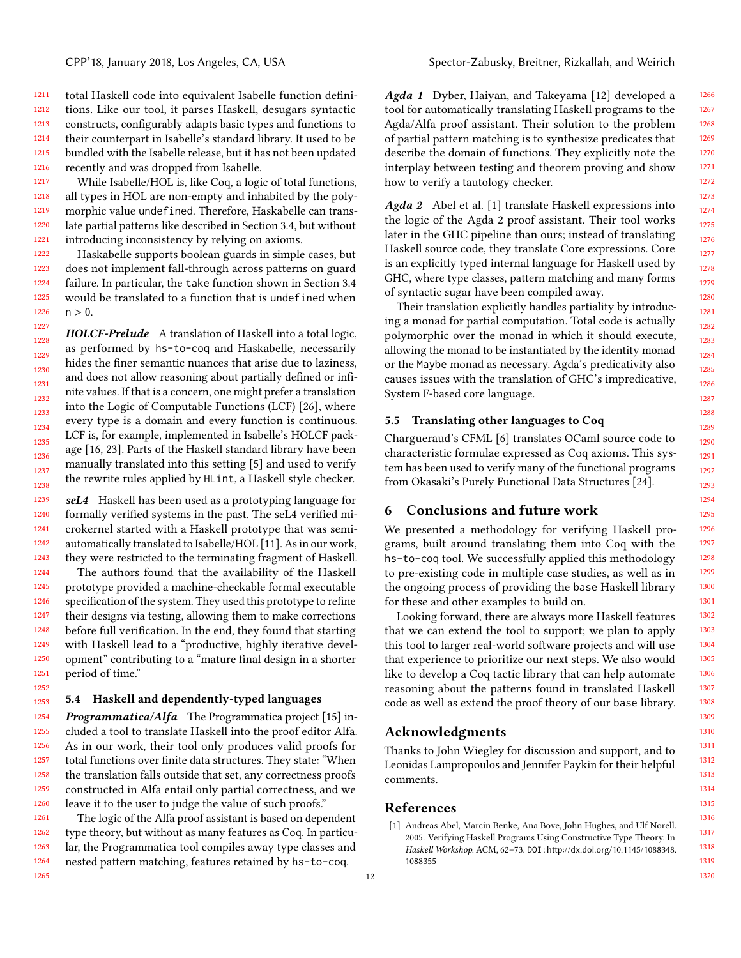1211 1212 1213 1214 1215 1216 total Haskell code into equivalent Isabelle function definitions. Like our tool, it parses Haskell, desugars syntactic constructs, configurably adapts basic types and functions to their counterpart in Isabelle's standard library. It used to be bundled with the Isabelle release, but it has not been updated recently and was dropped from Isabelle.

1217 1218 1219 1220 1221 While Isabelle/HOL is, like Coq, a logic of total functions, all types in HOL are non-empty and inhabited by the polymorphic value undefined. Therefore, Haskabelle can translate partial patterns like described in [Section 3.4,](#page-5-0) but without introducing inconsistency by relying on axioms.

1222 1223 1224 1225 1226 Haskabelle supports boolean guards in simple cases, but does not implement fall-through across patterns on guard failure. In particular, the take function shown in [Section 3.4](#page-5-0) would be translated to a function that is undefined when  $n > 0$ .

1227 1228 1229 1230 1231 1232 1233 1234 1235 1236 1237 1238 HOLCF-Prelude A translation of Haskell into a total logic, as performed by hs-to-coq and Haskabelle, necessarily hides the finer semantic nuances that arise due to laziness, and does not allow reasoning about partially defined or infinite values. If that is a concern, one might prefer a translation into the Logic of Computable Functions (LCF) [\[26\]](#page-12-24), where every type is a domain and every function is continuous. LCF is, for example, implemented in Isabelle's HOLCF package [\[16,](#page-12-25) [23\]](#page-12-26). Parts of the Haskell standard library have been manually translated into this setting [\[5\]](#page-12-27) and used to verify the rewrite rules applied by HLint, a Haskell style checker.

1239 1240 1241 1242 1243 seL4 Haskell has been used as a prototyping language for formally verified systems in the past. The seL4 verified microkernel started with a Haskell prototype that was semiautomatically translated to Isabelle/HOL [\[11\]](#page-12-28). As in our work, they were restricted to the terminating fragment of Haskell.

1244 1245 1246 1247 1248 1249 1250 1251 The authors found that the availability of the Haskell prototype provided a machine-checkable formal executable specification of the system. They used this prototype to refine their designs via testing, allowing them to make corrections before full verification. In the end, they found that starting with Haskell lead to a "productive, highly iterative development" contributing to a "mature final design in a shorter period of time."

#### 1253 5.4 Haskell and dependently-typed languages

1252

1254 1255 1256 1257 1258 1259 1260 Programmatica/Alfa The Programmatica project [\[15\]](#page-12-29) included a tool to translate Haskell into the proof editor Alfa. As in our work, their tool only produces valid proofs for total functions over finite data structures. They state: "When the translation falls outside that set, any correctness proofs constructed in Alfa entail only partial correctness, and we leave it to the user to judge the value of such proofs."

1261 1262 1263 1264 1265 The logic of the Alfa proof assistant is based on dependent type theory, but without as many features as Coq. In particular, the Programmatica tool compiles away type classes and nested pattern matching, features retained by hs-to-coq.

Agda 1 Dyber, Haiyan, and Takeyama [\[12\]](#page-12-30) developed a tool for automatically translating Haskell programs to the Agda/Alfa proof assistant. Their solution to the problem of partial pattern matching is to synthesize predicates that describe the domain of functions. They explicitly note the interplay between testing and theorem proving and show how to verify a tautology checker.

Agda 2 Abel et al. [\[1\]](#page-11-1) translate Haskell expressions into the logic of the Agda 2 proof assistant. Their tool works later in the GHC pipeline than ours; instead of translating Haskell source code, they translate Core expressions. Core is an explicitly typed internal language for Haskell used by GHC, where type classes, pattern matching and many forms of syntactic sugar have been compiled away.

Their translation explicitly handles partiality by introducing a monad for partial computation. Total code is actually polymorphic over the monad in which it should execute, allowing the monad to be instantiated by the identity monad or the Maybe monad as necessary. Agda's predicativity also causes issues with the translation of GHC's impredicative, System F-based core language.

### 5.5 Translating other languages to Coq

Chargueraud's CFML [\[6\]](#page-12-31) translates OCaml source code to characteristic formulae expressed as Coq axioms. This system has been used to verify many of the functional programs from Okasaki's Purely Functional Data Structures [\[24\]](#page-12-32).

# <span id="page-11-0"></span>6 Conclusions and future work

We presented a methodology for verifying Haskell programs, built around translating them into Coq with the hs-to-coq tool. We successfully applied this methodology to pre-existing code in multiple case studies, as well as in the ongoing process of providing the base Haskell library for these and other examples to build on.

Looking forward, there are always more Haskell features that we can extend the tool to support; we plan to apply this tool to larger real-world software projects and will use that experience to prioritize our next steps. We also would like to develop a Coq tactic library that can help automate reasoning about the patterns found in translated Haskell code as well as extend the proof theory of our base library.

# Acknowledgments

Thanks to John Wiegley for discussion and support, and to Leonidas Lampropoulos and Jennifer Paykin for their helpful comments.

### References

<span id="page-11-1"></span>[1] Andreas Abel, Marcin Benke, Ana Bove, John Hughes, and Ulf Norell. 2005. Verifying Haskell Programs Using Constructive Type Theory. In Haskell Workshop. ACM, 62–73. DOI:[http://dx.doi.org/10.1145/1088348.](http://dx.doi.org/10.1145/1088348.1088355) [1088355](http://dx.doi.org/10.1145/1088348.1088355)